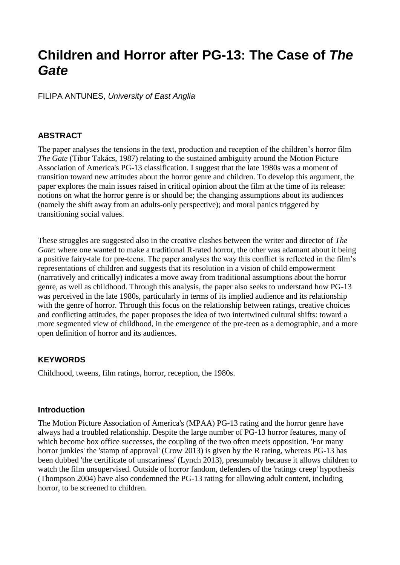# **Children and Horror after PG-13: The Case of** *The Gate*

FILIPA ANTUNES, *University of East Anglia*

### **ABSTRACT**

The paper analyses the tensions in the text, production and reception of the children's horror film *The Gate* (Tibor Takács, 1987) relating to the sustained ambiguity around the Motion Picture Association of America's PG-13 classification. I suggest that the late 1980s was a moment of transition toward new attitudes about the horror genre and children. To develop this argument, the paper explores the main issues raised in critical opinion about the film at the time of its release: notions on what the horror genre is or should be; the changing assumptions about its audiences (namely the shift away from an adults-only perspective); and moral panics triggered by transitioning social values.

These struggles are suggested also in the creative clashes between the writer and director of *The Gate*: where one wanted to make a traditional R-rated horror, the other was adamant about it being a positive fairy-tale for pre-teens. The paper analyses the way this conflict is reflected in the film's representations of children and suggests that its resolution in a vision of child empowerment (narratively and critically) indicates a move away from traditional assumptions about the horror genre, as well as childhood. Through this analysis, the paper also seeks to understand how PG-13 was perceived in the late 1980s, particularly in terms of its implied audience and its relationship with the genre of horror. Through this focus on the relationship between ratings, creative choices and conflicting attitudes, the paper proposes the idea of two intertwined cultural shifts: toward a more segmented view of childhood, in the emergence of the pre-teen as a demographic, and a more open definition of horror and its audiences.

### **KEYWORDS**

Childhood, tweens, film ratings, horror, reception, the 1980s.

### **Introduction**

The Motion Picture Association of America's (MPAA) PG-13 rating and the horror genre have always had a troubled relationship. Despite the large number of PG-13 horror features, many of which become box office successes, the coupling of the two often meets opposition. 'For many horror junkies' the 'stamp of approval' (Crow 2013) is given by the R rating, whereas PG-13 has been dubbed 'the certificate of unscariness' (Lynch 2013), presumably because it allows children to watch the film unsupervised. Outside of horror fandom, defenders of the 'ratings creep' hypothesis (Thompson 2004) have also condemned the PG-13 rating for allowing adult content, including horror, to be screened to children.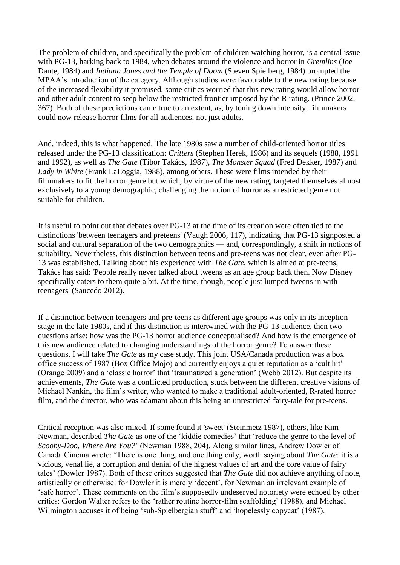The problem of children, and specifically the problem of children watching horror, is a central issue with PG-13, harking back to 1984, when debates around the violence and horror in *Gremlins* (Joe Dante, 1984) and *Indiana Jones and the Temple of Doom* (Steven Spielberg, 1984) prompted the MPAA's introduction of the category. Although studios were favourable to the new rating because of the increased flexibility it promised, some critics worried that this new rating would allow horror and other adult content to seep below the restricted frontier imposed by the R rating. (Prince 2002, 367). Both of these predictions came true to an extent, as, by toning down intensity, filmmakers could now release horror films for all audiences, not just adults.

And, indeed, this is what happened. The late 1980s saw a number of child-oriented horror titles released under the PG-13 classification: *Critters* (Stephen Herek, 1986) and its sequels (1988, 1991 and 1992), as well as *The Gate* (Tibor Takács, 1987), *The Monster Squad* (Fred Dekker, 1987) and *Lady in White* (Frank LaLoggia, 1988), among others. These were films intended by their filmmakers to fit the horror genre but which, by virtue of the new rating, targeted themselves almost exclusively to a young demographic, challenging the notion of horror as a restricted genre not suitable for children.

It is useful to point out that debates over PG-13 at the time of its creation were often tied to the distinctions 'between teenagers and preteens' (Vaugh 2006, 117), indicating that PG-13 signposted a social and cultural separation of the two demographics — and, correspondingly, a shift in notions of suitability. Nevertheless, this distinction between teens and pre-teens was not clear, even after PG-13 was established. Talking about his experience with *The Gate*, which is aimed at pre-teens, Takács has said: 'People really never talked about tweens as an age group back then. Now Disney specifically caters to them quite a bit. At the time, though, people just lumped tweens in with teenagers' (Saucedo 2012).

If a distinction between teenagers and pre-teens as different age groups was only in its inception stage in the late 1980s, and if this distinction is intertwined with the PG-13 audience, then two questions arise: how was the PG-13 horror audience conceptualised? And how is the emergence of this new audience related to changing understandings of the horror genre? To answer these questions, I will take *The Gate* as my case study. This joint USA/Canada production was a box office success of 1987 (Box Office Mojo) and currently enjoys a quiet reputation as a 'cult hit' (Orange 2009) and a 'classic horror' that 'traumatized a generation' (Webb 2012). But despite its achievements, *The Gate* was a conflicted production, stuck between the different creative visions of Michael Nankin, the film's writer, who wanted to make a traditional adult-oriented, R-rated horror film, and the director, who was adamant about this being an unrestricted fairy-tale for pre-teens.

Critical reception was also mixed. If some found it 'sweet' (Steinmetz 1987), others, like Kim Newman, described *The Gate* as one of the 'kiddie comedies' that 'reduce the genre to the level of *Scooby-Doo, Where Are You?*' (Newman 1988, 204). Along similar lines, Andrew Dowler of Canada Cinema wrote: 'There is one thing, and one thing only, worth saying about *The Gate*: it is a vicious, venal lie, a corruption and denial of the highest values of art and the core value of fairy tales' (Dowler 1987). Both of these critics suggested that *The Gate* did not achieve anything of note, artistically or otherwise: for Dowler it is merely 'decent', for Newman an irrelevant example of 'safe horror'. These comments on the film's supposedly undeserved notoriety were echoed by other critics: Gordon Walter refers to the 'rather routine horror-film scaffolding' (1988), and Michael Wilmington accuses it of being 'sub-Spielbergian stuff' and 'hopelessly copycat' (1987).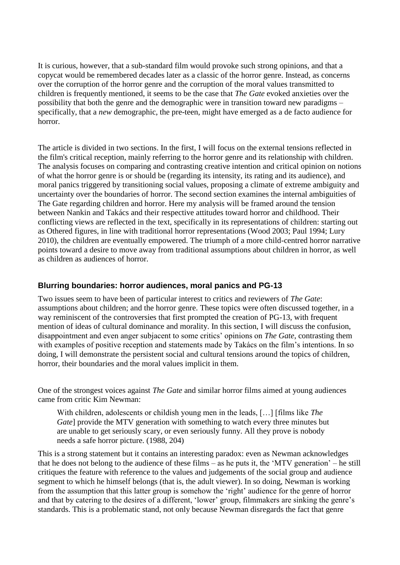It is curious, however, that a sub-standard film would provoke such strong opinions, and that a copycat would be remembered decades later as a classic of the horror genre. Instead, as concerns over the corruption of the horror genre and the corruption of the moral values transmitted to children is frequently mentioned, it seems to be the case that *The Gate* evoked anxieties over the possibility that both the genre and the demographic were in transition toward new paradigms – specifically, that a *new* demographic, the pre-teen, might have emerged as a de facto audience for horror.

The article is divided in two sections. In the first, I will focus on the external tensions reflected in the film's critical reception, mainly referring to the horror genre and its relationship with children. The analysis focuses on comparing and contrasting creative intention and critical opinion on notions of what the horror genre is or should be (regarding its intensity, its rating and its audience), and moral panics triggered by transitioning social values, proposing a climate of extreme ambiguity and uncertainty over the boundaries of horror. The second section examines the internal ambiguities of The Gate regarding children and horror. Here my analysis will be framed around the tension between Nankin and Takács and their respective attitudes toward horror and childhood. Their conflicting views are reflected in the text, specifically in its representations of children: starting out as Othered figures, in line with traditional horror representations (Wood 2003; Paul 1994; Lury 2010), the children are eventually empowered. The triumph of a more child-centred horror narrative points toward a desire to move away from traditional assumptions about children in horror, as well as children as audiences of horror.

## **Blurring boundaries: horror audiences, moral panics and PG-13**

Two issues seem to have been of particular interest to critics and reviewers of *The Gate*: assumptions about children; and the horror genre. These topics were often discussed together, in a way reminiscent of the controversies that first prompted the creation of PG-13, with frequent mention of ideas of cultural dominance and morality. In this section, I will discuss the confusion, disappointment and even anger subjacent to some critics' opinions on *The Gate*, contrasting them with examples of positive reception and statements made by Takács on the film's intentions. In so doing, I will demonstrate the persistent social and cultural tensions around the topics of children, horror, their boundaries and the moral values implicit in them.

One of the strongest voices against *The Gate* and similar horror films aimed at young audiences came from critic Kim Newman:

With children, adolescents or childish young men in the leads, […] [films like *The Gate*] provide the MTV generation with something to watch every three minutes but are unable to get seriously scary, or even seriously funny. All they prove is nobody needs a safe horror picture. (1988, 204)

This is a strong statement but it contains an interesting paradox: even as Newman acknowledges that he does not belong to the audience of these films – as he puts it, the 'MTV generation' – he still critiques the feature with reference to the values and judgements of the social group and audience segment to which he himself belongs (that is, the adult viewer). In so doing, Newman is working from the assumption that this latter group is somehow the 'right' audience for the genre of horror and that by catering to the desires of a different, 'lower' group, filmmakers are sinking the genre's standards. This is a problematic stand, not only because Newman disregards the fact that genre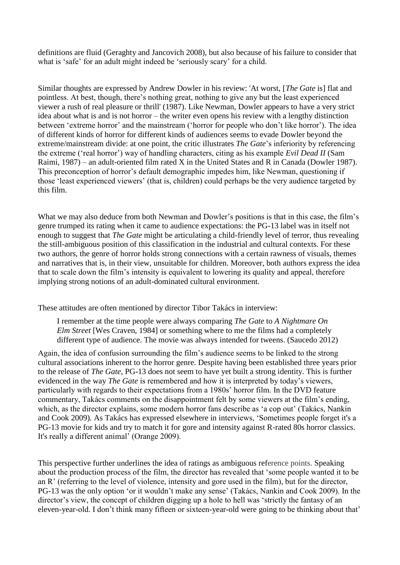definitions are fluid (Geraghty and Jancovich 2008), but also because of his failure to consider that what is 'safe' for an adult might indeed be 'seriously scary' for a child.

Similar thoughts are expressed by Andrew Dowler in his review: 'At worst, [*The Gate* is] flat and pointless. At best, though, there's nothing great, nothing to give any but the least experienced viewer a rush of real pleasure or thrill' (1987). Like Newman, Dowler appears to have a very strict idea about what is and is not horror – the writer even opens his review with a lengthy distinction between 'extreme horror' and the mainstream ('horror for people who don't like horror'). The idea of different kinds of horror for different kinds of audiences seems to evade Dowler beyond the extreme/mainstream divide: at one point, the critic illustrates *The Gate*'s inferiority by referencing the extreme ('real horror') way of handling characters, citing as his example *Evil Dead II* (Sam Raimi, 1987) – an adult-oriented film rated X in the United States and R in Canada (Dowler 1987). This preconception of horror's default demographic impedes him, like Newman, questioning if those 'least experienced viewers' (that is, children) could perhaps be the very audience targeted by this film.

What we may also deduce from both Newman and Dowler's positions is that in this case, the film's genre trumped its rating when it came to audience expectations: the PG-13 label was in itself not enough to suggest that *The Gate* might be articulating a child-friendly level of terror, thus revealing the still-ambiguous position of this classification in the industrial and cultural contexts. For these two authors, the genre of horror holds strong connections with a certain rawness of visuals, themes and narratives that is, in their view, unsuitable for children. Moreover, both authors express the idea that to scale down the film's intensity is equivalent to lowering its quality and appeal, therefore implying strong notions of an adult-dominated cultural environment.

These attitudes are often mentioned by director Tibor Takács in interview:

I remember at the time people were always comparing *The Gate* to *A Nightmare On Elm Street* [Wes Craven, 1984] or something where to me the films had a completely different type of audience. The movie was always intended for tweens. (Saucedo 2012)

Again, the idea of confusion surrounding the film's audience seems to be linked to the strong cultural associations inherent to the horror genre. Despite having been established three years prior to the release of *The Gate*, PG-13 does not seem to have yet built a strong identity. This is further evidenced in the way *The Gate* is remembered and how it is interpreted by today's viewers, particularly with regards to their expectations from a 1980s' horror film. In the DVD feature commentary, Takács comments on the disappointment felt by some viewers at the film's ending, which, as the director explains, some modern horror fans describe as 'a cop out' (Takács, Nankin and Cook 2009). As Takács has expressed elsewhere in interviews, 'Sometimes people forget it's a PG-13 movie for kids and try to match it for gore and intensity against R-rated 80s horror classics. It's really a different animal' (Orange 2009).

This perspective further underlines the idea of ratings as ambiguous reference points. Speaking about the production process of the film, the director has revealed that 'some people wanted it to be an R' (referring to the level of violence, intensity and gore used in the film), but for the director, PG-13 was the only option 'or it wouldn't make any sense' (Takács, Nankin and Cook 2009). In the director's view, the concept of children digging up a hole to hell was 'strictly the fantasy of an eleven-year-old. I don't think many fifteen or sixteen-year-old were going to be thinking about that'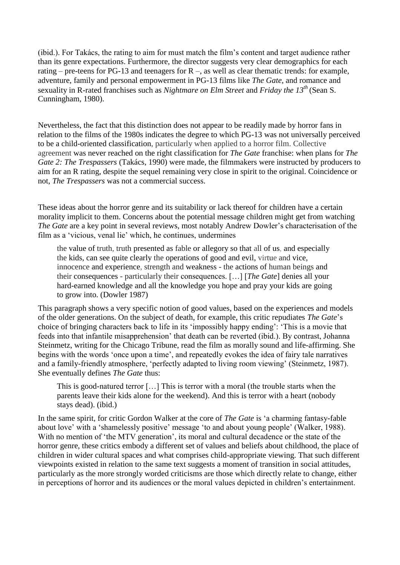(ibid.). For Takács, the rating to aim for must match the film's content and target audience rather than its genre expectations. Furthermore, the director suggests very clear demographics for each rating – pre-teens for PG-13 and teenagers for  $R -$ , as well as clear thematic trends: for example, adventure, family and personal empowerment in PG-13 films like *The Gate*, and romance and sexuality in R-rated franchises such as *Nightmare on Elm Street* and *Friday the 13th* (Sean S. Cunningham, 1980).

Nevertheless, the fact that this distinction does not appear to be readily made by horror fans in relation to the films of the 1980s indicates the degree to which PG-13 was not universally perceived to be a child-oriented classification, particularly when applied to a horror film. Collective agreement was never reached on the right classification for *The Gate* franchise: when plans for *The Gate 2: The Trespassers* (Takács, 1990) were made, the filmmakers were instructed by producers to aim for an R rating, despite the sequel remaining very close in spirit to the original. Coincidence or not, *The Trespassers* was not a commercial success.

These ideas about the horror genre and its suitability or lack thereof for children have a certain morality implicit to them. Concerns about the potential message children might get from watching *The Gate* are a key point in several reviews, most notably Andrew Dowler's characterisation of the film as a 'vicious, venal lie' which, he continues, undermines

the value of truth, truth presented as fable or allegory so that all of us, and especially the kids, can see quite clearly the operations of good and evil, virtue and vice, innocence and experience, strength and weakness - the actions of human beings and their consequences - particularly their consequences. […] [*The Gate*] denies all your hard-earned knowledge and all the knowledge you hope and pray your kids are going to grow into. (Dowler 1987)

This paragraph shows a very specific notion of good values, based on the experiences and models of the older generations. On the subject of death, for example, this critic repudiates *The Gate*'s choice of bringing characters back to life in its 'impossibly happy ending': 'This is a movie that feeds into that infantile misapprehension' that death can be reverted (ibid.). By contrast, Johanna Steinmetz, writing for the Chicago Tribune, read the film as morally sound and life-affirming. She begins with the words 'once upon a time', and repeatedly evokes the idea of fairy tale narratives and a family-friendly atmosphere, 'perfectly adapted to living room viewing' (Steinmetz, 1987). She eventually defines *The Gate* thus:

This is good-natured terror […] This is terror with a moral (the trouble starts when the parents leave their kids alone for the weekend). And this is terror with a heart (nobody stays dead). (ibid.)

In the same spirit, for critic Gordon Walker at the core of *The Gate* is 'a charming fantasy-fable about love' with a 'shamelessly positive' message 'to and about young people' (Walker, 1988). With no mention of 'the MTV generation', its moral and cultural decadence or the state of the horror genre, these critics embody a different set of values and beliefs about childhood, the place of children in wider cultural spaces and what comprises child-appropriate viewing. That such different viewpoints existed in relation to the same text suggests a moment of transition in social attitudes, particularly as the more strongly worded criticisms are those which directly relate to change, either in perceptions of horror and its audiences or the moral values depicted in children's entertainment.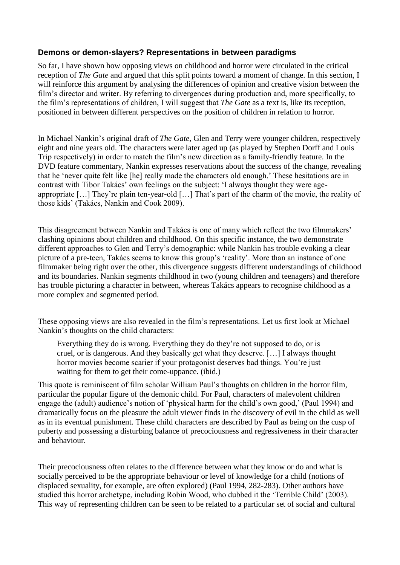### **Demons or demon-slayers? Representations in between paradigms**

So far, I have shown how opposing views on childhood and horror were circulated in the critical reception of *The Gate* and argued that this split points toward a moment of change. In this section, I will reinforce this argument by analysing the differences of opinion and creative vision between the film's director and writer. By referring to divergences during production and, more specifically, to the film's representations of children, I will suggest that *The Gate* as a text is, like its reception, positioned in between different perspectives on the position of children in relation to horror.

In Michael Nankin's original draft of *The Gate*, Glen and Terry were younger children, respectively eight and nine years old. The characters were later aged up (as played by Stephen Dorff and Louis Trip respectively) in order to match the film's new direction as a family-friendly feature. In the DVD feature commentary, Nankin expresses reservations about the success of the change, revealing that he 'never quite felt like [he] really made the characters old enough.' These hesitations are in contrast with Tibor Takács' own feelings on the subject: 'I always thought they were ageappropriate […] They're plain ten-year-old […] That's part of the charm of the movie, the reality of those kids' (Takács, Nankin and Cook 2009).

This disagreement between Nankin and Takács is one of many which reflect the two filmmakers' clashing opinions about children and childhood. On this specific instance, the two demonstrate different approaches to Glen and Terry's demographic: while Nankin has trouble evoking a clear picture of a pre-teen, Takács seems to know this group's 'reality'. More than an instance of one filmmaker being right over the other, this divergence suggests different understandings of childhood and its boundaries. Nankin segments childhood in two (young children and teenagers) and therefore has trouble picturing a character in between, whereas Takács appears to recognise childhood as a more complex and segmented period.

These opposing views are also revealed in the film's representations. Let us first look at Michael Nankin's thoughts on the child characters:

Everything they do is wrong. Everything they do they're not supposed to do, or is cruel, or is dangerous. And they basically get what they deserve. […] I always thought horror movies become scarier if your protagonist deserves bad things. You're just waiting for them to get their come-uppance. (ibid.)

This quote is reminiscent of film scholar William Paul's thoughts on children in the horror film, particular the popular figure of the demonic child. For Paul, characters of malevolent children engage the (adult) audience's notion of 'physical harm for the child's own good,' (Paul 1994) and dramatically focus on the pleasure the adult viewer finds in the discovery of evil in the child as well as in its eventual punishment. These child characters are described by Paul as being on the cusp of puberty and possessing a disturbing balance of precociousness and regressiveness in their character and behaviour.

Their precociousness often relates to the difference between what they know or do and what is socially perceived to be the appropriate behaviour or level of knowledge for a child (notions of displaced sexuality, for example, are often explored) (Paul 1994, 282-283). Other authors have studied this horror archetype, including Robin Wood, who dubbed it the 'Terrible Child' (2003). This way of representing children can be seen to be related to a particular set of social and cultural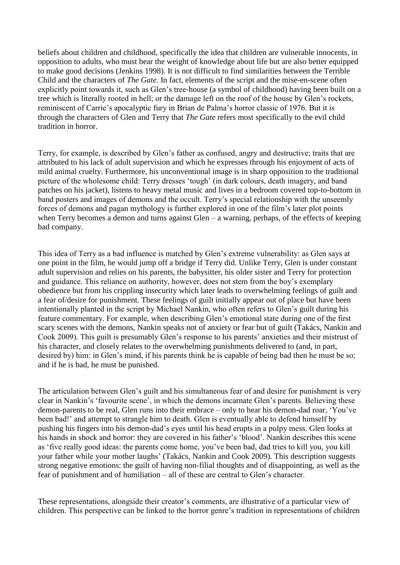beliefs about children and childhood, specifically the idea that children are vulnerable innocents, in opposition to adults, who must bear the weight of knowledge about life but are also better equipped to make good decisions (Jenkins 1998). It is not difficult to find similarities between the Terrible Child and the characters of *The Gate*. In fact, elements of the script and the mise-en-scene often explicitly point towards it, such as Glen's tree-house (a symbol of childhood) having been built on a tree which is literally rooted in hell; or the damage left on the roof of the house by Glen's rockets, reminiscent of Carrie's apocalyptic fury in Brian de Palma's horror classic of 1976. But it is through the characters of Glen and Terry that *The Gate* refers most specifically to the evil child tradition in horror.

Terry, for example, is described by Glen's father as confused, angry and destructive; traits that are attributed to his lack of adult supervision and which he expresses through his enjoyment of acts of mild animal cruelty. Furthermore, his unconventional image is in sharp opposition to the traditional picture of the wholesome child: Terry dresses 'tough' (in dark colours, death imagery, and band patches on his jacket), listens to heavy metal music and lives in a bedroom covered top-to-bottom in band posters and images of demons and the occult. Terry's special relationship with the unseemly forces of demons and pagan mythology is further explored in one of the film's later plot points when Terry becomes a demon and turns against Glen – a warning, perhaps, of the effects of keeping bad company.

This idea of Terry as a bad influence is matched by Glen's extreme vulnerability: as Glen says at one point in the film, he would jump off a bridge if Terry did. Unlike Terry, Glen is under constant adult supervision and relies on his parents, the babysitter, his older sister and Terry for protection and guidance. This reliance on authority, however, does not stem from the boy's exemplary obedience but from his crippling insecurity which later leads to overwhelming feelings of guilt and a fear of/desire for punishment. These feelings of guilt initially appear out of place but have been intentionally planted in the script by Michael Nankin, who often refers to Glen's guilt during his feature commentary. For example, when describing Glen's emotional state during one of the first scary scenes with the demons, Nankin speaks not of anxiety or fear but of guilt (Takács, Nankin and Cook 2009). This guilt is presumably Glen's response to his parents' anxieties and their mistrust of his character, and closely relates to the overwhelming punishments delivered to (and, in part, desired by) him: in Glen's mind, if his parents think he is capable of being bad then he must be so; and if he is bad, he must be punished.

The articulation between Glen's guilt and his simultaneous fear of and desire for punishment is very clear in Nankin's 'favourite scene', in which the demons incarnate Glen's parents. Believing these demon-parents to be real, Glen runs into their embrace – only to hear his demon-dad roar, 'You've been bad!' and attempt to strangle him to death. Glen is eventually able to defend himself by pushing his fingers into his demon-dad's eyes until his head erupts in a pulpy mess. Glen looks at his hands in shock and horror: they are covered in his father's 'blood'. Nankin describes this scene as 'five really good ideas: the parents come home, you've been bad, dad tries to kill you, you kill your father while your mother laughs' (Takács, Nankin and Cook 2009). This description suggests strong negative emotions: the guilt of having non-filial thoughts and of disappointing, as well as the fear of punishment and of humiliation – all of these are central to Glen's character.

These representations, alongside their creator's comments, are illustrative of a particular view of children. This perspective can be linked to the horror genre's tradition in representations of children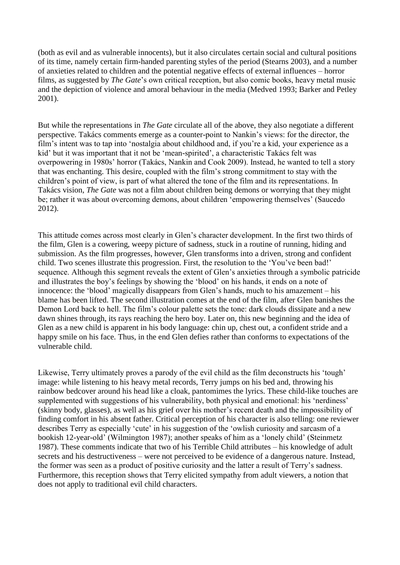(both as evil and as vulnerable innocents), but it also circulates certain social and cultural positions of its time, namely certain firm-handed parenting styles of the period (Stearns 2003), and a number of anxieties related to children and the potential negative effects of external influences – horror films, as suggested by *The Gate*'s own critical reception, but also comic books, heavy metal music and the depiction of violence and amoral behaviour in the media (Medved 1993; Barker and Petley 2001).

But while the representations in *The Gate* circulate all of the above, they also negotiate a different perspective. Takács comments emerge as a counter-point to Nankin's views: for the director, the film's intent was to tap into 'nostalgia about childhood and, if you're a kid, your experience as a kid' but it was important that it not be 'mean-spirited', a characteristic Takács felt was overpowering in 1980s' horror (Takács, Nankin and Cook 2009). Instead, he wanted to tell a story that was enchanting. This desire, coupled with the film's strong commitment to stay with the children's point of view, is part of what altered the tone of the film and its representations. In Takács vision, *The Gate* was not a film about children being demons or worrying that they might be; rather it was about overcoming demons, about children 'empowering themselves' (Saucedo 2012).

This attitude comes across most clearly in Glen's character development. In the first two thirds of the film, Glen is a cowering, weepy picture of sadness, stuck in a routine of running, hiding and submission. As the film progresses, however, Glen transforms into a driven, strong and confident child. Two scenes illustrate this progression. First, the resolution to the 'You've been bad!' sequence. Although this segment reveals the extent of Glen's anxieties through a symbolic patricide and illustrates the boy's feelings by showing the 'blood' on his hands, it ends on a note of innocence: the 'blood' magically disappears from Glen's hands, much to his amazement – his blame has been lifted. The second illustration comes at the end of the film, after Glen banishes the Demon Lord back to hell. The film's colour palette sets the tone: dark clouds dissipate and a new dawn shines through, its rays reaching the hero boy. Later on, this new beginning and the idea of Glen as a new child is apparent in his body language: chin up, chest out, a confident stride and a happy smile on his face. Thus, in the end Glen defies rather than conforms to expectations of the vulnerable child.

Likewise, Terry ultimately proves a parody of the evil child as the film deconstructs his 'tough' image: while listening to his heavy metal records, Terry jumps on his bed and, throwing his rainbow bedcover around his head like a cloak, pantomimes the lyrics. These child-like touches are supplemented with suggestions of his vulnerability, both physical and emotional: his 'nerdiness' (skinny body, glasses), as well as his grief over his mother's recent death and the impossibility of finding comfort in his absent father. Critical perception of his character is also telling: one reviewer describes Terry as especially 'cute' in his suggestion of the 'owlish curiosity and sarcasm of a bookish 12-year-old' (Wilmington 1987); another speaks of him as a 'lonely child' (Steinmetz 1987). These comments indicate that two of his Terrible Child attributes – his knowledge of adult secrets and his destructiveness – were not perceived to be evidence of a dangerous nature. Instead, the former was seen as a product of positive curiosity and the latter a result of Terry's sadness. Furthermore, this reception shows that Terry elicited sympathy from adult viewers, a notion that does not apply to traditional evil child characters.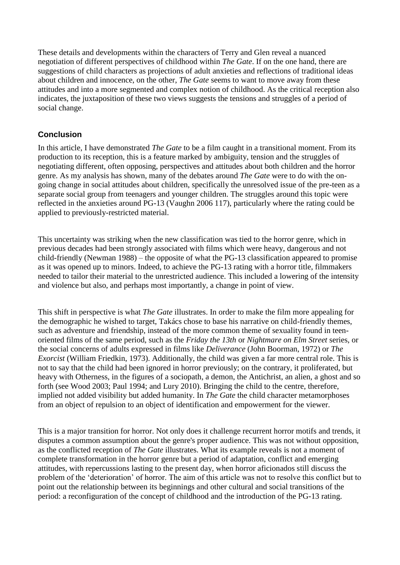These details and developments within the characters of Terry and Glen reveal a nuanced negotiation of different perspectives of childhood within *The Gate*. If on the one hand, there are suggestions of child characters as projections of adult anxieties and reflections of traditional ideas about children and innocence, on the other, *The Gate* seems to want to move away from these attitudes and into a more segmented and complex notion of childhood. As the critical reception also indicates, the juxtaposition of these two views suggests the tensions and struggles of a period of social change.

# **Conclusion**

In this article, I have demonstrated *The Gate* to be a film caught in a transitional moment. From its production to its reception, this is a feature marked by ambiguity, tension and the struggles of negotiating different, often opposing, perspectives and attitudes about both children and the horror genre. As my analysis has shown, many of the debates around *The Gate* were to do with the ongoing change in social attitudes about children, specifically the unresolved issue of the pre-teen as a separate social group from teenagers and younger children. The struggles around this topic were reflected in the anxieties around PG-13 (Vaughn 2006 117), particularly where the rating could be applied to previously-restricted material.

This uncertainty was striking when the new classification was tied to the horror genre, which in previous decades had been strongly associated with films which were heavy, dangerous and not child-friendly (Newman 1988) – the opposite of what the PG-13 classification appeared to promise as it was opened up to minors. Indeed, to achieve the PG-13 rating with a horror title, filmmakers needed to tailor their material to the unrestricted audience. This included a lowering of the intensity and violence but also, and perhaps most importantly, a change in point of view.

This shift in perspective is what *The Gate* illustrates. In order to make the film more appealing for the demographic he wished to target, Takács chose to base his narrative on child-friendly themes, such as adventure and friendship, instead of the more common theme of sexuality found in teenoriented films of the same period, such as the *Friday the 13th* or *Nightmare on Elm Street* series, or the social concerns of adults expressed in films like *Deliverance* (John Boorman, 1972) or *The Exorcist* (William Friedkin, 1973). Additionally, the child was given a far more central role. This is not to say that the child had been ignored in horror previously; on the contrary, it proliferated, but heavy with Otherness, in the figures of a sociopath, a demon, the Antichrist, an alien, a ghost and so forth (see Wood 2003; Paul 1994; and Lury 2010). Bringing the child to the centre, therefore, implied not added visibility but added humanity. In *The Gate* the child character metamorphoses from an object of repulsion to an object of identification and empowerment for the viewer.

This is a major transition for horror. Not only does it challenge recurrent horror motifs and trends, it disputes a common assumption about the genre's proper audience. This was not without opposition, as the conflicted reception of *The Gate* illustrates. What its example reveals is not a moment of complete transformation in the horror genre but a period of adaptation, conflict and emerging attitudes, with repercussions lasting to the present day, when horror aficionados still discuss the problem of the 'deterioration' of horror. The aim of this article was not to resolve this conflict but to point out the relationship between its beginnings and other cultural and social transitions of the period: a reconfiguration of the concept of childhood and the introduction of the PG-13 rating.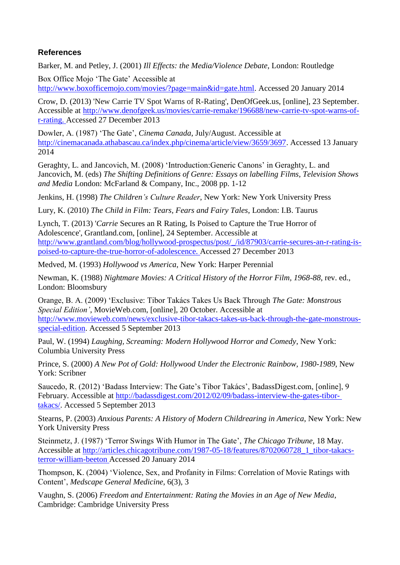# **References**

Barker, M. and Petley, J. (2001) *Ill Effects: the Media/Violence Debate*, London: Routledge

Box Office Mojo 'The Gate' Accessible at [http://www.boxofficemojo.com/movies/?page=main&id=gate.html.](http://www.boxofficemojo.com/movies/?page=main&id=gate.html) Accessed 20 January 2014

Crow, D. (2013) 'New Carrie TV Spot Warns of R-Rating', DenOfGeek.us, [online], 23 September. Accessible at [http://www.denofgeek.us/movies/carrie-remake/196688/new-carrie-tv-spot-warns-of](http://www.denofgeek.us/movies/carrie-remake/196688/new-carrie-tv-spot-warns-of-)r-rating. Accessed 27 December 2013

Dowler, A. (1987) 'The Gate', *Cinema Canada*, July/August. Accessible at [http://cinemacanada.athabascau.ca/index.php/cinema/article/view/3659/3697.](http://cinemacanada.athabascau.ca/index.php/cinema/article/view/3659/3697) Accessed 13 January 2014

Geraghty, L. and Jancovich, M. (2008) 'Introduction:Generic Canons' in Geraghty, L. and Jancovich, M. (eds) *The Shifting Definitions of Genre: Essays on labelling Films, Television Shows and Media* London: McFarland & Company, Inc., 2008 pp. 1-12

Jenkins, H. (1998) *The Children's Culture Reader*, New York: New York University Press

Lury, K. (2010) *The Child in Film: Tears, Fears and Fairy Tales*, London: I.B. Taurus

Lynch, T. (2013) '*Carrie* Secures an R Rating, Is Poised to Capture the True Horror of Adolescence', Grantland.com, [online], 24 September. Accessible at [http://www.grantland.com/blog/hollywood-prospectus/post/\\_/id/87903/carrie-secures-an-r-rating-is](http://www.grantland.com/blog/hollywood-prospectus/post/_/id/87903/carrie-secures-an-r-rating-is-)poised-to-capture-the-true-horror-of-adolescence. Accessed 27 December 2013

Medved, M. (1993) *Hollywood vs America*, New York: Harper Perennial

Newman, K. (1988) *Nightmare Movies: A Critical History of the Horror Film, 1968-88*, rev. ed.*,*  London: Bloomsbury

Orange, B. A. (2009) 'Exclusive: Tibor Takács Takes Us Back Through *The Gate: Monstrous Special Edition'*, MovieWeb.com, [online], 20 October. Accessible at [http://www.movieweb.com/news/exclusive-tibor-takacs-takes-us-back-through-the-gate-monstrous](http://www.movieweb.com/news/exclusive-tibor-takacs-takes-us-back-through-the-gate-monstrous-)special-edition. Accessed 5 September 2013

Paul, W. (1994) *Laughing, Screaming: Modern Hollywood Horror and Comedy*, New York: Columbia University Press

Prince, S. (2000) *A New Pot of Gold: Hollywood Under the Electronic Rainbow, 1980-1989*, New York: Scribner

Saucedo, R. (2012) 'Badass Interview: The Gate's Tibor Takács', BadassDigest.com, [online], 9 February. Accessible at [http://badassdigest.com/2012/02/09/badass-interview-the-gates-tibor](http://badassdigest.com/2012/02/09/badass-interview-the-gates-tibor-)takacs/. Accessed 5 September 2013

Stearns, P. (2003) *Anxious Parents: A History of Modern Childrearing in America*, New York: New York University Press

Steinmetz, J. (1987) 'Terror Swings With Humor in The Gate', *The Chicago Tribune,* 18 May. Accessible at [http://articles.chicagotribune.com/1987-05-18/features/8702060728\\_1\\_tibor-takacs](http://articles.chicagotribune.com/1987-05-18/features/8702060728_1_tibor-takacs-)terror-william-beeton Accessed 20 January 2014

Thompson, K. (2004) 'Violence, Sex, and Profanity in Films: Correlation of Movie Ratings with Content', *Medscape General Medicine*, 6(3), 3

Vaughn, S. (2006) *Freedom and Entertainment: Rating the Movies in an Age of New Media*, Cambridge: Cambridge University Press